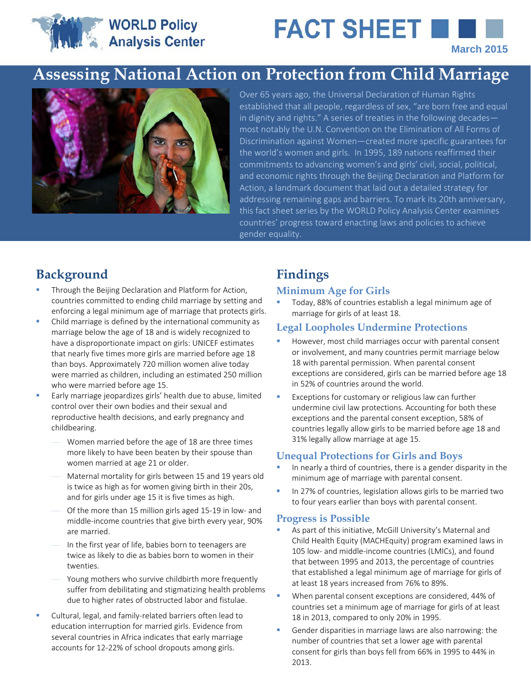# **WORLD Policy** Analysis Center

# FACT SHEET **N March 2015**

# **Assessing National Action on Protection from Child Marriage**



Over 65 years ago, the Universal Declaration of Human Rights established that all people, regardless of sex, "are born free and equal in dignity and rights." A series of treaties in the following decades most notably the U.N. Convention on the Elimination of All Forms of Discrimination against Women—created more specific guarantees for the world's women and girls. In 1995, 189 nations reaffirmed their commitments to advancing women's and girls' civil, social, political, and economic rights through the Beijing Declaration and Platform for Action, a landmark document that laid out a detailed strategy for addressing remaining gaps and barriers. To mark its 20th anniversary, this fact sheet series by the WORLD Policy Analysis Center examines countries' progress toward enacting laws and policies to achieve gender equality.

# **Background Findings**

- Through the Beijing Declaration and Platform for Action, countries committed to ending child marriage by setting and enforcing a legal minimum age of marriage that protects girls.
- Child marriage is defined by the international community as marriage below the age of 18 and is widely recognized to have a disproportionate impact on girls: UNICEF estimates that nearly five times more girls are married before age 18 than boys. Approximately 720 million women alive today were married as children, including an estimated 250 million who were married before age 15.
- Early marriage jeopardizes girls' health due to abuse, limited control over their own bodies and their sexual and reproductive health decisions, and early pregnancy and childbearing.
	- Women married before the age of 18 are three times more likely to have been beaten by their spouse than women married at age 21 or older.
	- Maternal mortality for girls between 15 and 19 years old is twice as high as for women giving birth in their 20s, and for girls under age 15 it is five times as high.
	- Of the more than 15 million girls aged 15-19 in low- and middle-income countries that give birth every year, 90% are married.
	- In the first year of life, babies born to teenagers are twice as likely to die as babies born to women in their twenties.
	- Young mothers who survive childbirth more frequently suffer from debilitating and stigmatizing health problems due to higher rates of obstructed labor and fistulae.
- Cultural, legal, and family-related barriers often lead to education interruption for married girls. Evidence from several countries in Africa indicates that early marriage accounts for 12-22% of school dropouts among girls.

#### **Minimum Age for Girls**

 Today, 88% of countries establish a legal minimum age of marriage for girls of at least 18.

### **Legal Loopholes Undermine Protections**

- However, most child marriages occur with parental consent or involvement, and many countries permit marriage below 18 with parental permission. When parental consent exceptions are considered, girls can be married before age 18 in 52% of countries around the world.
- Exceptions for customary or religious law can further undermine civil law protections. Accounting for both these exceptions and the parental consent exception, 58% of countries legally allow girls to be married before age 18 and 31% legally allow marriage at age 15.

### **Unequal Protections for Girls and Boys**

- In nearly a third of countries, there is a gender disparity in the minimum age of marriage with parental consent.
- In 27% of countries, legislation allows girls to be married two to four years earlier than boys with parental consent.

#### **Progress is Possible**

- As part of this initiative, McGill University's Maternal and Child Health Equity (MACHEquity) program examined laws in 105 low- and middle-income countries (LMICs), and found that between 1995 and 2013, the percentage of countries that established a legal minimum age of marriage for girls of at least 18 years increased from 76% to 89%.
- When parental consent exceptions are considered, 44% of countries set a minimum age of marriage for girls of at least 18 in 2013, compared to only 20% in 1995.
- Gender disparities in marriage laws are also narrowing: the number of countries that set a lower age with parental consent for girls than boys fell from 66% in 1995 to 44% in 2013.